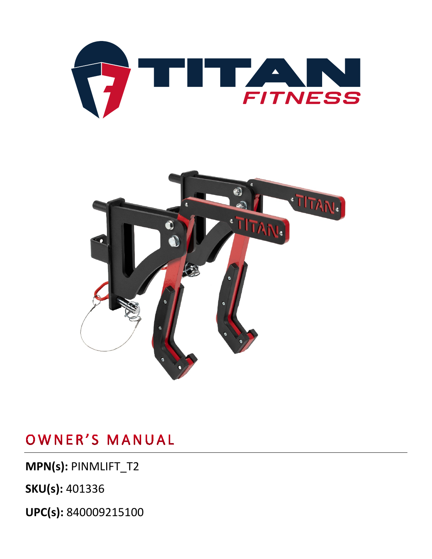

**MPN(s):** PINMLIFT\_T2

**SKU(s):** 401336

**UPC(s):** 840009215100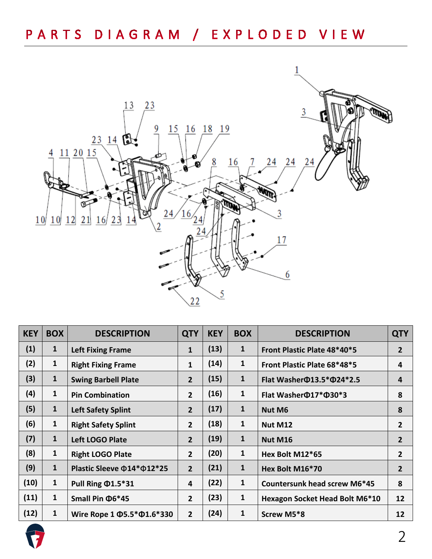# PARTS DIAGRAM / EXPLODED VIEW



| <b>KEY</b> | <b>BOX</b>   | <b>DESCRIPTION</b>                     | <b>QTY</b>     | <b>KEY</b> | <b>BOX</b>   | <b>DESCRIPTION</b>                     | <b>QTY</b>     |
|------------|--------------|----------------------------------------|----------------|------------|--------------|----------------------------------------|----------------|
| (1)        | $\mathbf{1}$ | <b>Left Fixing Frame</b>               | $\mathbf{1}$   | (13)       | 1            | Front Plastic Plate 48*40*5            | $\overline{2}$ |
| (2)        | $\mathbf{1}$ | <b>Right Fixing Frame</b>              | $\mathbf{1}$   | (14)       | 1            | Front Plastic Plate 68*48*5            | 4              |
| (3)        | $\mathbf{1}$ | <b>Swing Barbell Plate</b>             | $\overline{2}$ | (15)       | 1            | Flat Washer $\Phi$ 13.5* $\Phi$ 24*2.5 | 4              |
| (4)        | $\mathbf{1}$ | <b>Pin Combination</b>                 | $2^{\circ}$    | (16)       | $\mathbf{1}$ | Flat Washer $\Phi$ 17* $\Phi$ 30*3     | 8              |
| (5)        | $\mathbf{1}$ | <b>Left Safety Splint</b>              | 2 <sup>2</sup> | (17)       | $\mathbf{1}$ | <b>Nut M6</b>                          | 8              |
| (6)        | $\mathbf{1}$ | <b>Right Safety Splint</b>             | $\overline{2}$ | (18)       | 1            | Nut M12                                | $\overline{2}$ |
| (7)        | $\mathbf{1}$ | Left LOGO Plate                        | $\overline{2}$ | (19)       | 1            | <b>Nut M16</b>                         | 2              |
| (8)        | $\mathbf{1}$ | <b>Right LOGO Plate</b>                | $2^{\circ}$    | (20)       | 1            | Hex Bolt M12*65                        | 2              |
| (9)        | $\mathbf{1}$ | Plastic Sleeve $\Phi$ 14* $\Phi$ 12*25 | $\overline{2}$ | (21)       | 1            | Hex Bolt M16*70                        | 2              |
| (10)       | $\mathbf{1}$ | Pull Ring $\Phi$ 1.5*31                | 4              | (22)       | 1            | Countersunk head screw M6*45           | 8              |
| (11)       | $\mathbf{1}$ | Small Pin $\Phi$ 6*45                  | $2^{\circ}$    | (23)       | $\mathbf{1}$ | <b>Hexagon Socket Head Bolt M6*10</b>  | 12             |
| (12)       | $\mathbf{1}$ | Wire Rope 1 $\Phi$ 5.5* $\Phi$ 1.6*330 | $\overline{2}$ | (24)       | 1            | Screw M5*8                             | 12             |

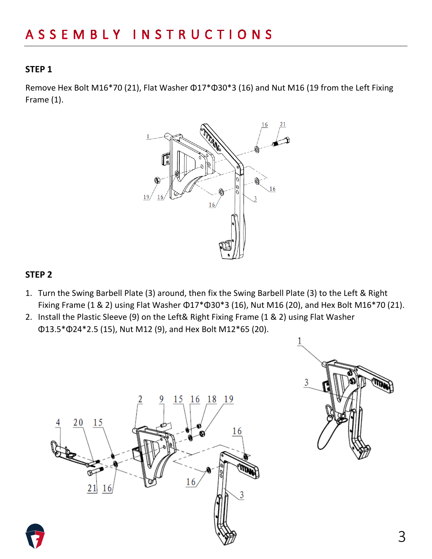#### **STEP 1**

Remove Hex Bolt M16\*70 (21), Flat Washer Φ17\*Φ30\*3 (16) and Nut M16 (19 from the Left Fixing Frame (1).



#### **STEP 2**

- 1. Turn the Swing Barbell Plate (3) around, then fix the Swing Barbell Plate (3) to the Left & Right Fixing Frame (1 & 2) using Flat Washer Φ17\*Φ30\*3 (16), Nut M16 (20), and Hex Bolt M16\*70 (21).
- 2. Install the Plastic Sleeve (9) on the Left& Right Fixing Frame (1 & 2) using Flat Washer Φ13.5\*Φ24\*2.5 (15), Nut M12 (9), and Hex Bolt M12\*65 (20).